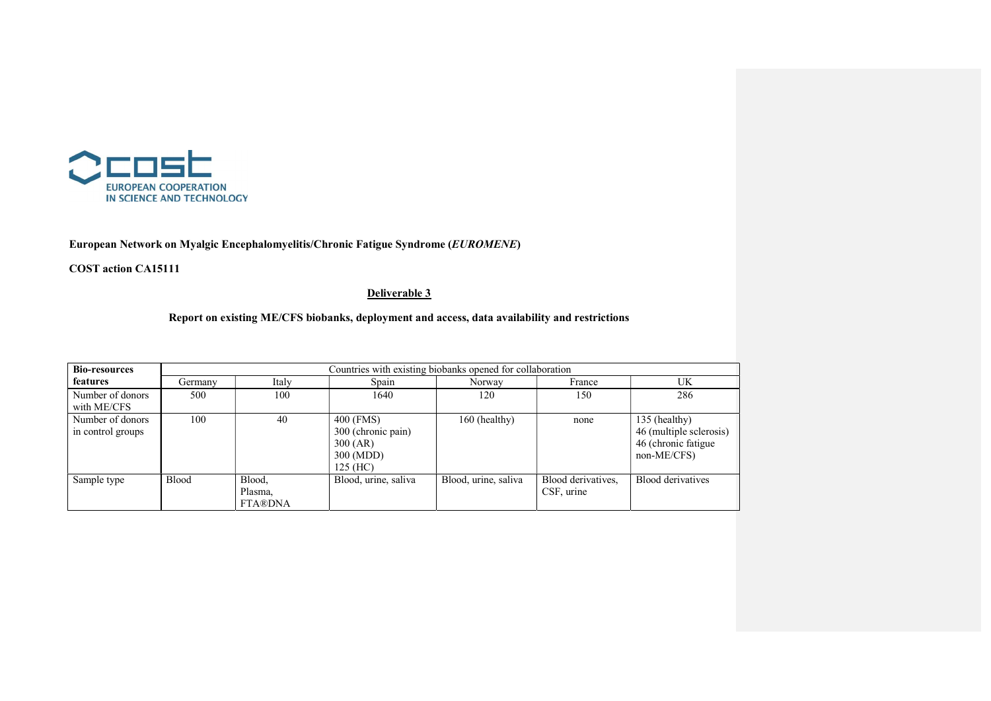

## European Network on Myalgic Encephalomyelitis/Chronic Fatigue Syndrome (EUROMENE)

COST action CA15111

## Deliverable 3

## Report on existing ME/CFS biobanks, deployment and access, data availability and restrictions

| <b>Bio-resources</b>                  | Countries with existing biobanks opened for collaboration |                                     |                                                                        |                      |                                  |                                                                                |  |
|---------------------------------------|-----------------------------------------------------------|-------------------------------------|------------------------------------------------------------------------|----------------------|----------------------------------|--------------------------------------------------------------------------------|--|
| features                              | Germany                                                   | Italy                               | Spain                                                                  | Norway               | France                           | UK                                                                             |  |
| Number of donors<br>with ME/CFS       | 500                                                       | 100                                 | 1640                                                                   | 120                  | 150                              | 286                                                                            |  |
| Number of donors<br>in control groups | 100                                                       | 40                                  | 400 (FMS)<br>300 (chronic pain)<br>300 (AR)<br>300 (MDD)<br>$125$ (HC) | 160 (healthy)        | none                             | 135 (healthy)<br>46 (multiple sclerosis)<br>46 (chronic fatigue<br>non-ME/CFS) |  |
| Sample type                           | <b>Blood</b>                                              | Blood,<br>Plasma,<br><b>FTA®DNA</b> | Blood, urine, saliva                                                   | Blood, urine, saliva | Blood derivatives,<br>CSF, urine | Blood derivatives                                                              |  |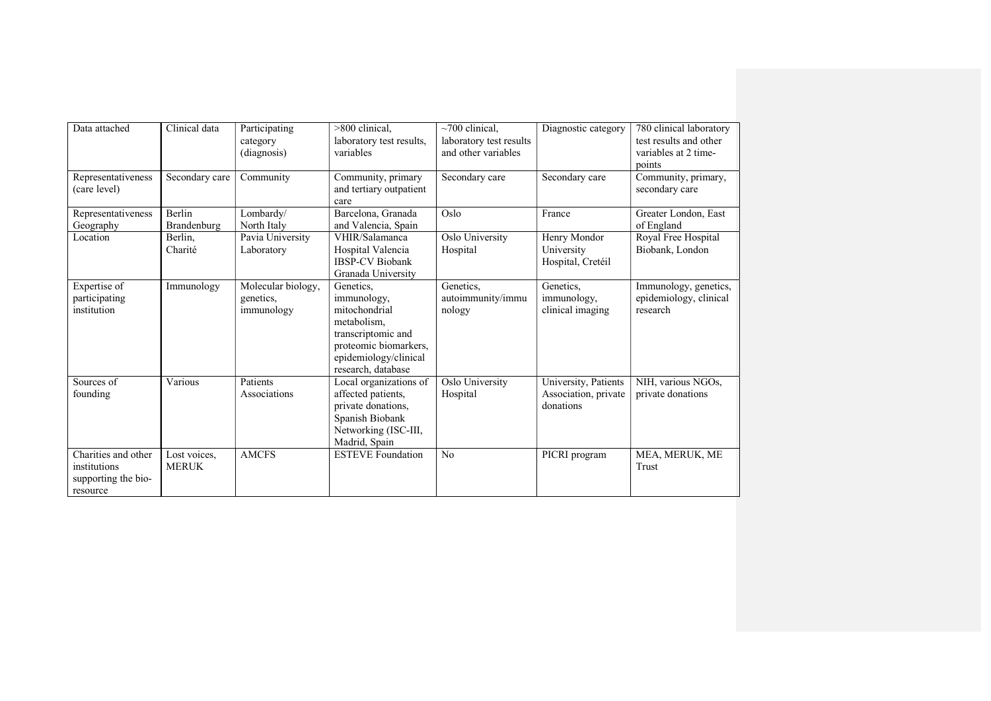| Data attached                                                          | Clinical data                | Participating<br>category<br>(diagnosis)      | >800 clinical,<br>laboratory test results,<br>variables                                                                                                | $\sim$ 700 clinical,<br>laboratory test results<br>and other variables | Diagnostic category                                       | 780 clinical laboratory<br>test results and other<br>variables at 2 time-<br>points |
|------------------------------------------------------------------------|------------------------------|-----------------------------------------------|--------------------------------------------------------------------------------------------------------------------------------------------------------|------------------------------------------------------------------------|-----------------------------------------------------------|-------------------------------------------------------------------------------------|
| Representativeness<br>(care level)                                     | Secondary care               | Community                                     | Community, primary<br>and tertiary outpatient<br>care                                                                                                  | Secondary care                                                         | Secondary care                                            | Community, primary,<br>secondary care                                               |
| Representativeness<br>Geography                                        | <b>Berlin</b><br>Brandenburg | Lombardy/<br>North Italy                      | Barcelona, Granada<br>and Valencia, Spain                                                                                                              | Oslo                                                                   | France                                                    | Greater London, East<br>of England                                                  |
| Location                                                               | Berlin,<br>Charité           | Pavia University<br>Laboratory                | VHIR/Salamanca<br>Hospital Valencia<br><b>IBSP-CV Biobank</b><br>Granada University                                                                    | Oslo University<br>Hospital                                            | Henry Mondor<br>University<br>Hospital, Cretéil           | Royal Free Hospital<br>Biobank, London                                              |
| Expertise of<br>participating<br>institution                           | Immunology                   | Molecular biology,<br>genetics,<br>immunology | Genetics.<br>immunology,<br>mitochondrial<br>metabolism.<br>transcriptomic and<br>proteomic biomarkers,<br>epidemiology/clinical<br>research, database | Genetics.<br>autoimmunity/immu<br>nology                               | Genetics,<br>immunology,<br>clinical imaging              | Immunology, genetics,<br>epidemiology, clinical<br>research                         |
| Sources of<br>founding                                                 | Various                      | Patients<br>Associations                      | Local organizations of<br>affected patients,<br>private donations,<br>Spanish Biobank<br>Networking (ISC-III,<br>Madrid, Spain                         | Oslo University<br>Hospital                                            | University, Patients<br>Association, private<br>donations | NIH, various NGOs,<br>private donations                                             |
| Charities and other<br>institutions<br>supporting the bio-<br>resource | Lost voices,<br><b>MERUK</b> | <b>AMCFS</b>                                  | <b>ESTEVE</b> Foundation                                                                                                                               | N <sub>o</sub>                                                         | PICRI program                                             | MEA, MERUK, ME<br>Trust                                                             |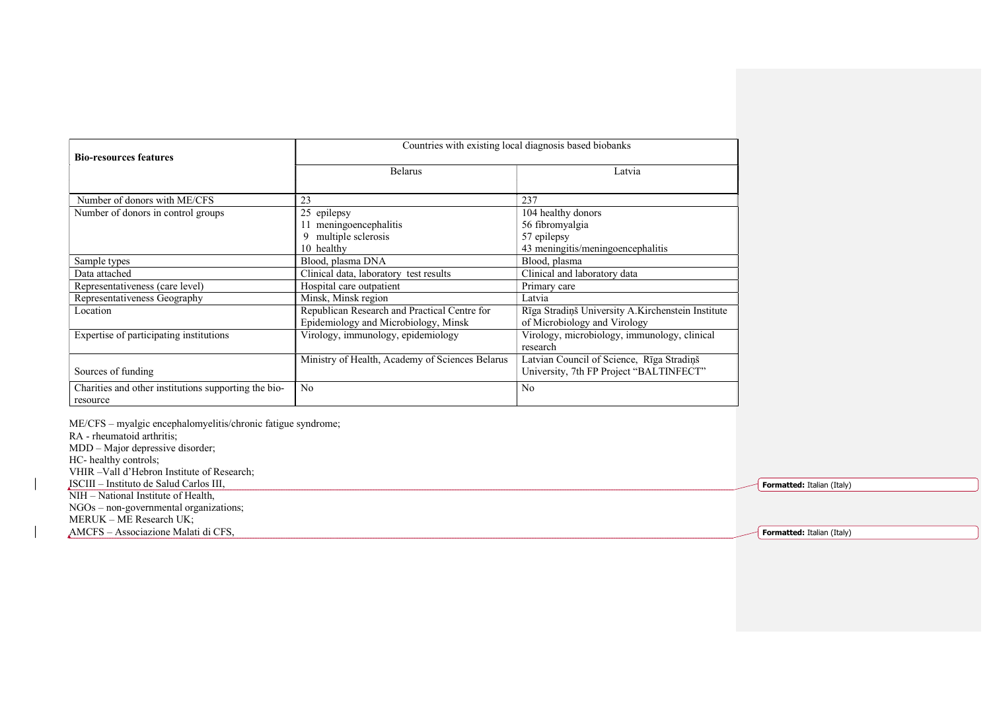|                                                      | Countries with existing local diagnosis based biobanks |                                                   |  |  |
|------------------------------------------------------|--------------------------------------------------------|---------------------------------------------------|--|--|
| <b>Bio-resources features</b>                        |                                                        |                                                   |  |  |
|                                                      | <b>Belarus</b>                                         | Latvia                                            |  |  |
|                                                      |                                                        |                                                   |  |  |
| Number of donors with ME/CFS                         | 23                                                     | 237                                               |  |  |
| Number of donors in control groups                   | 25 epilepsy                                            | 104 healthy donors                                |  |  |
|                                                      | meningoencephalitis                                    | 56 fibromyalgia                                   |  |  |
|                                                      | multiple sclerosis                                     | 57 epilepsy                                       |  |  |
|                                                      | 10 healthy                                             | 43 meningitis/meningoencephalitis                 |  |  |
| Sample types                                         | Blood, plasma DNA                                      | Blood, plasma                                     |  |  |
| Data attached                                        | Clinical data, laboratory test results                 | Clinical and laboratory data                      |  |  |
| Representativeness (care level)                      | Hospital care outpatient                               | Primary care                                      |  |  |
| Representativeness Geography                         | Minsk, Minsk region                                    | Latvia                                            |  |  |
| Location                                             | Republican Research and Practical Centre for           | Rīga Stradiņš University A.Kirchenstein Institute |  |  |
|                                                      | Epidemiology and Microbiology, Minsk                   | of Microbiology and Virology                      |  |  |
| Expertise of participating institutions              | Virology, immunology, epidemiology                     | Virology, microbiology, immunology, clinical      |  |  |
|                                                      |                                                        | research                                          |  |  |
|                                                      | Ministry of Health, Academy of Sciences Belarus        | Latvian Council of Science, Rīga Stradiņš         |  |  |
| Sources of funding                                   |                                                        | University, 7th FP Project "BALTINFECT"           |  |  |
| Charities and other institutions supporting the bio- | N <sub>0</sub>                                         | N <sub>o</sub>                                    |  |  |
| resource                                             |                                                        |                                                   |  |  |

ME/CFS – myalgic encephalomyelitis/chronic fatigue syndrome; RA - rheumatoid arthritis; MDD – Major depressive disorder; HC- healthy controls; VHIR –Vall d'Hebron Institute of Research; ISCIII – Instituto de Salud Carlos III, NIH – National Institute of Health, NGOs – non-governmental organizations; MERUK – ME Research UK;

AMCFS – Associazione Malati di CFS,

Formatted: Italian (Italy)

Formatted: Italian (Italy)